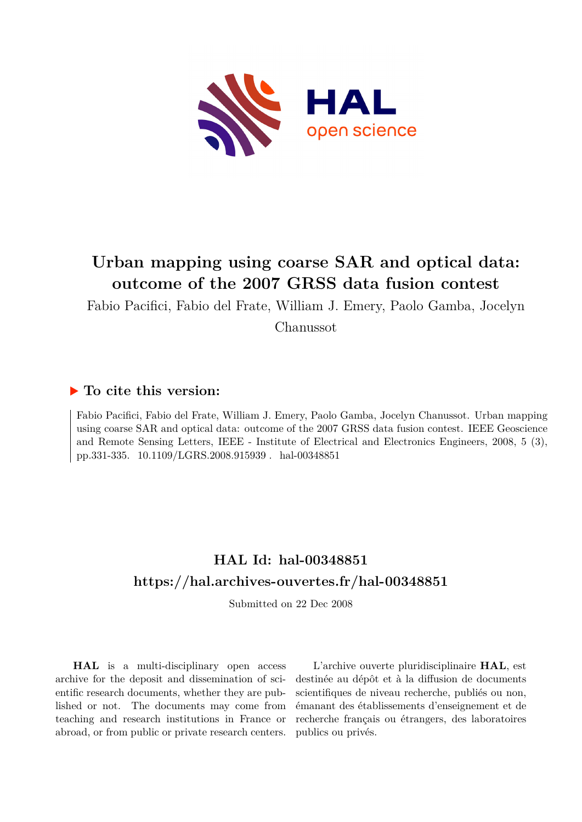

## **Urban mapping using coarse SAR and optical data: outcome of the 2007 GRSS data fusion contest**

Fabio Pacifici, Fabio del Frate, William J. Emery, Paolo Gamba, Jocelyn

Chanussot

### **To cite this version:**

Fabio Pacifici, Fabio del Frate, William J. Emery, Paolo Gamba, Jocelyn Chanussot. Urban mapping using coarse SAR and optical data: outcome of the 2007 GRSS data fusion contest. IEEE Geoscience and Remote Sensing Letters, IEEE - Institute of Electrical and Electronics Engineers, 2008, 5 (3), pp.331-335. 10.1109/LGRS.2008.915939 . hal-00348851

## **HAL Id: hal-00348851 <https://hal.archives-ouvertes.fr/hal-00348851>**

Submitted on 22 Dec 2008

**HAL** is a multi-disciplinary open access archive for the deposit and dissemination of scientific research documents, whether they are published or not. The documents may come from teaching and research institutions in France or abroad, or from public or private research centers.

L'archive ouverte pluridisciplinaire **HAL**, est destinée au dépôt et à la diffusion de documents scientifiques de niveau recherche, publiés ou non, émanant des établissements d'enseignement et de recherche français ou étrangers, des laboratoires publics ou privés.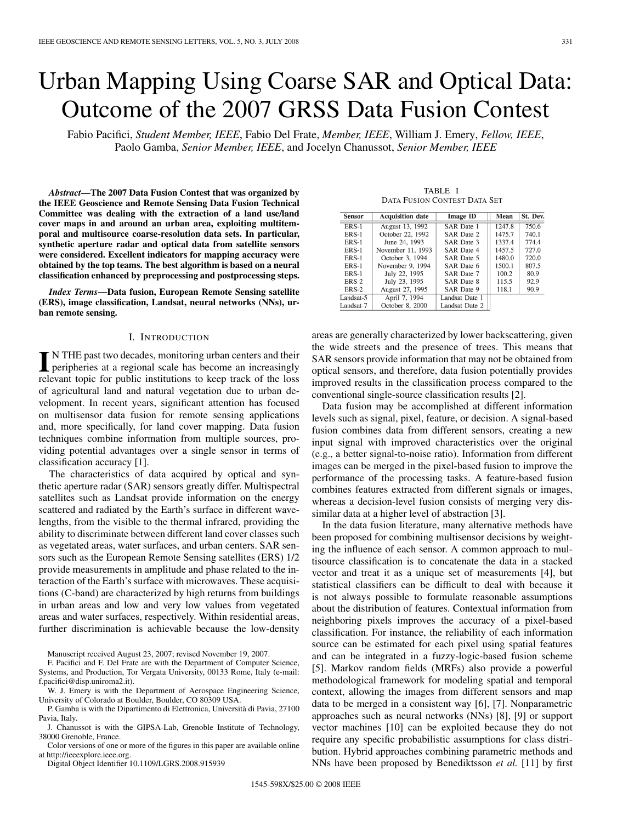# Urban Mapping Using Coarse SAR and Optical Data: Outcome of the 2007 GRSS Data Fusion Contest

Fabio Pacifici, *Student Member, IEEE*, Fabio Del Frate, *Member, IEEE*, William J. Emery, *Fellow, IEEE*, Paolo Gamba, *Senior Member, IEEE*, and Jocelyn Chanussot, *Senior Member, IEEE*

*Abstract***—The 2007 Data Fusion Contest that was organized by the IEEE Geoscience and Remote Sensing Data Fusion Technical Committee was dealing with the extraction of a land use/land cover maps in and around an urban area, exploiting multitemporal and multisource coarse-resolution data sets. In particular, synthetic aperture radar and optical data from satellite sensors were considered. Excellent indicators for mapping accuracy were obtained by the top teams. The best algorithm is based on a neural classification enhanced by preprocessing and postprocessing steps.**

*Index Terms***—Data fusion, European Remote Sensing satellite (ERS), image classification, Landsat, neural networks (NNs), urban remote sensing.**

#### I. INTRODUCTION

IN THE past two decades, monitoring urban centers and their<br>peripheries at a regional scale has become an increasingly relevant topic for public institutions to keep track of the loss of agricultural land and natural vegetation due to urban development. In recent years, significant attention has focused on multisensor data fusion for remote sensing applications and, more specifically, for land cover mapping. Data fusion techniques combine information from multiple sources, providing potential advantages over a single sensor in terms of classification accuracy [1].

The characteristics of data acquired by optical and synthetic aperture radar (SAR) sensors greatly differ. Multispectral satellites such as Landsat provide information on the energy scattered and radiated by the Earth's surface in different wavelengths, from the visible to the thermal infrared, providing the ability to discriminate between different land cover classes such as vegetated areas, water surfaces, and urban centers. SAR sensors such as the European Remote Sensing satellites (ERS) 1/2 provide measurements in amplitude and phase related to the interaction of the Earth's surface with microwaves. These acquisitions (C-band) are characterized by high returns from buildings in urban areas and low and very low values from vegetated areas and water surfaces, respectively. Within residential areas, further discrimination is achievable because the low-density

Manuscript received August 23, 2007; revised November 19, 2007.

F. Pacifici and F. Del Frate are with the Department of Computer Science, Systems, and Production, Tor Vergata University, 00133 Rome, Italy (e-mail: f.pacifici@disp.uniroma2.it).

- W. J. Emery is with the Department of Aerospace Engineering Science, University of Colorado at Boulder, Boulder, CO 80309 USA.
- P. Gamba is with the Dipartimento di Elettronica, Università di Pavia, 27100 Pavia, Italy.
- J. Chanussot is with the GIPSA-Lab, Grenoble Institute of Technology, 38000 Grenoble, France.

Color versions of one or more of the figures in this paper are available online at http://ieeexplore.ieee.org.

Digital Object Identifier 10.1109/LGRS.2008.915939

TABLE I DATA FUSION CONTEST DATA SET

| <b>Sensor</b> | <b>Acquisition date</b> | <b>Image ID</b> | Mean   | St. Dev. |
|---------------|-------------------------|-----------------|--------|----------|
| ERS-1         | August 13, 1992         | SAR Date 1      | 1247.8 | 750.6    |
| ERS-1         | October 22, 1992        | SAR Date 2      | 1475.7 | 740.1    |
| ERS-1         | June 24, 1993           | SAR Date 3      | 1337.4 | 774.4    |
| ERS-1         | November 11, 1993       | SAR Date 4      | 1457.5 | 727.0    |
| ERS-1         | October 3, 1994         | SAR Date 5      | 1480.0 | 720.0    |
| ERS-1         | November 9, 1994        | SAR Date 6      | 1500.1 | 807.5    |
| ERS-1         | July 22, 1995           | SAR Date 7      | 100.2  | 80.9     |
| $ERS-2$       | July 23, 1995           | SAR Date 8      | 115.5  | 92.9     |
| ERS-2         | August 27, 1995         | SAR Date 9      | 118.1  | 90.9     |
| Landsat-5     | April 7, 1994           | Landsat Date 1  |        |          |
| Landsat-7     | October 8, 2000         | Landsat Date 2  |        |          |

areas are generally characterized by lower backscattering, given the wide streets and the presence of trees. This means that SAR sensors provide information that may not be obtained from optical sensors, and therefore, data fusion potentially provides improved results in the classification process compared to the conventional single-source classification results [2].

Data fusion may be accomplished at different information levels such as signal, pixel, feature, or decision. A signal-based fusion combines data from different sensors, creating a new input signal with improved characteristics over the original (e.g., a better signal-to-noise ratio). Information from different images can be merged in the pixel-based fusion to improve the performance of the processing tasks. A feature-based fusion combines features extracted from different signals or images, whereas a decision-level fusion consists of merging very dissimilar data at a higher level of abstraction [3].

In the data fusion literature, many alternative methods have been proposed for combining multisensor decisions by weighting the influence of each sensor. A common approach to multisource classification is to concatenate the data in a stacked vector and treat it as a unique set of measurements [4], but statistical classifiers can be difficult to deal with because it is not always possible to formulate reasonable assumptions about the distribution of features. Contextual information from neighboring pixels improves the accuracy of a pixel-based classification. For instance, the reliability of each information source can be estimated for each pixel using spatial features and can be integrated in a fuzzy-logic-based fusion scheme [5]. Markov random fields (MRFs) also provide a powerful methodological framework for modeling spatial and temporal context, allowing the images from different sensors and map data to be merged in a consistent way [6], [7]. Nonparametric approaches such as neural networks (NNs) [8], [9] or support vector machines [10] can be exploited because they do not require any specific probabilistic assumptions for class distribution. Hybrid approaches combining parametric methods and NNs have been proposed by Benediktsson *et al.* [11] by first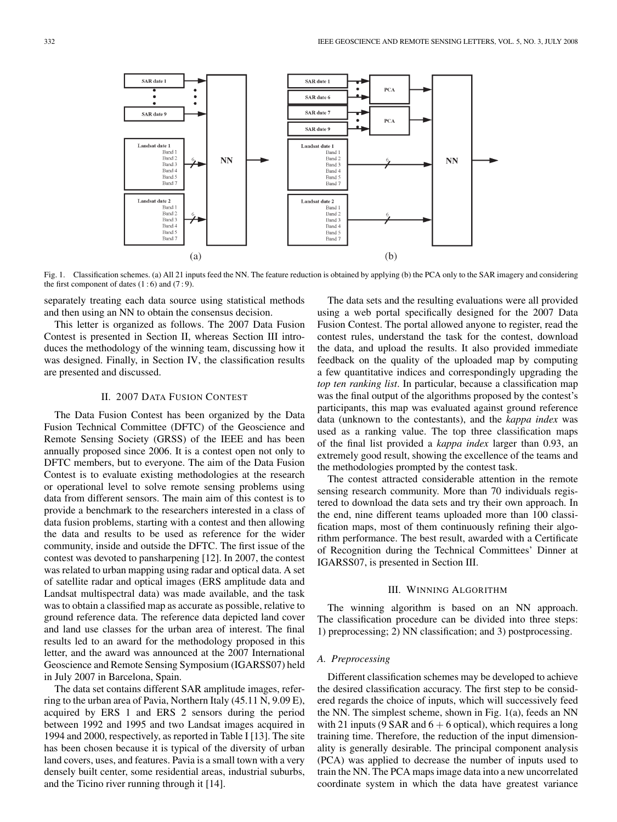

Fig. 1. Classification schemes. (a) All 21 inputs feed the NN. The feature reduction is obtained by applying (b) the PCA only to the SAR imagery and considering the first component of dates  $(1:6)$  and  $(7:9)$ .

separately treating each data source using statistical methods and then using an NN to obtain the consensus decision.

This letter is organized as follows. The 2007 Data Fusion Contest is presented in Section II, whereas Section III introduces the methodology of the winning team, discussing how it was designed. Finally, in Section IV, the classification results are presented and discussed.

#### II. 2007 DATA FUSION CONTEST

The Data Fusion Contest has been organized by the Data Fusion Technical Committee (DFTC) of the Geoscience and Remote Sensing Society (GRSS) of the IEEE and has been annually proposed since 2006. It is a contest open not only to DFTC members, but to everyone. The aim of the Data Fusion Contest is to evaluate existing methodologies at the research or operational level to solve remote sensing problems using data from different sensors. The main aim of this contest is to provide a benchmark to the researchers interested in a class of data fusion problems, starting with a contest and then allowing the data and results to be used as reference for the wider community, inside and outside the DFTC. The first issue of the contest was devoted to pansharpening [12]. In 2007, the contest was related to urban mapping using radar and optical data. A set of satellite radar and optical images (ERS amplitude data and Landsat multispectral data) was made available, and the task was to obtain a classified map as accurate as possible, relative to ground reference data. The reference data depicted land cover and land use classes for the urban area of interest. The final results led to an award for the methodology proposed in this letter, and the award was announced at the 2007 International Geoscience and Remote Sensing Symposium (IGARSS07) held in July 2007 in Barcelona, Spain.

The data set contains different SAR amplitude images, referring to the urban area of Pavia, Northern Italy (45.11 N, 9.09 E), acquired by ERS 1 and ERS 2 sensors during the period between 1992 and 1995 and two Landsat images acquired in 1994 and 2000, respectively, as reported in Table I [13]. The site has been chosen because it is typical of the diversity of urban land covers, uses, and features. Pavia is a small town with a very densely built center, some residential areas, industrial suburbs, and the Ticino river running through it [14].

The data sets and the resulting evaluations were all provided using a web portal specifically designed for the 2007 Data Fusion Contest. The portal allowed anyone to register, read the contest rules, understand the task for the contest, download the data, and upload the results. It also provided immediate feedback on the quality of the uploaded map by computing a few quantitative indices and correspondingly upgrading the *top ten ranking list*. In particular, because a classification map was the final output of the algorithms proposed by the contest's participants, this map was evaluated against ground reference data (unknown to the contestants), and the *kappa index* was used as a ranking value. The top three classification maps of the final list provided a *kappa index* larger than 0.93, an extremely good result, showing the excellence of the teams and the methodologies prompted by the contest task.

The contest attracted considerable attention in the remote sensing research community. More than 70 individuals registered to download the data sets and try their own approach. In the end, nine different teams uploaded more than 100 classification maps, most of them continuously refining their algorithm performance. The best result, awarded with a Certificate of Recognition during the Technical Committees' Dinner at IGARSS07, is presented in Section III.

#### III. WINNING ALGORITHM

The winning algorithm is based on an NN approach. The classification procedure can be divided into three steps: 1) preprocessing; 2) NN classification; and 3) postprocessing.

#### *A. Preprocessing*

Different classification schemes may be developed to achieve the desired classification accuracy. The first step to be considered regards the choice of inputs, which will successively feed the NN. The simplest scheme, shown in Fig. 1(a), feeds an NN with 21 inputs (9 SAR and  $6 + 6$  optical), which requires a long training time. Therefore, the reduction of the input dimensionality is generally desirable. The principal component analysis (PCA) was applied to decrease the number of inputs used to train the NN. The PCA maps image data into a new uncorrelated coordinate system in which the data have greatest variance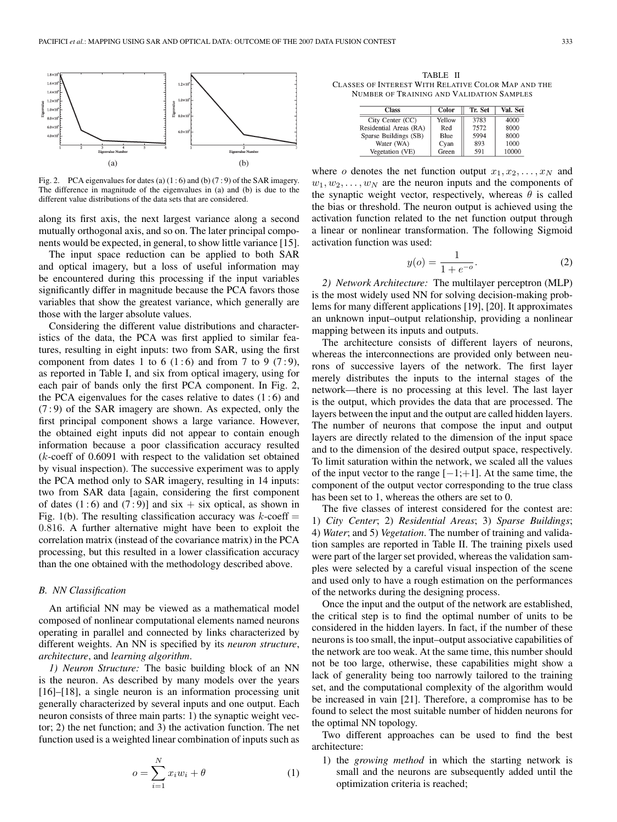

Fig. 2. PCA eigenvalues for dates (a)  $(1:6)$  and (b)  $(7:9)$  of the SAR imagery. The difference in magnitude of the eigenvalues in (a) and (b) is due to the different value distributions of the data sets that are considered.

along its first axis, the next largest variance along a second mutually orthogonal axis, and so on. The later principal components would be expected, in general, to show little variance [15].

The input space reduction can be applied to both SAR and optical imagery, but a loss of useful information may be encountered during this processing if the input variables significantly differ in magnitude because the PCA favors those variables that show the greatest variance, which generally are those with the larger absolute values.

Considering the different value distributions and characteristics of the data, the PCA was first applied to similar features, resulting in eight inputs: two from SAR, using the first component from dates 1 to 6 (1:6) and from 7 to 9 (7:9), as reported in Table I, and six from optical imagery, using for each pair of bands only the first PCA component. In Fig. 2, the PCA eigenvalues for the cases relative to dates  $(1:6)$  and (7 : 9) of the SAR imagery are shown. As expected, only the first principal component shows a large variance. However, the obtained eight inputs did not appear to contain enough information because a poor classification accuracy resulted  $(k$ -coeff of 0.6091 with respect to the validation set obtained by visual inspection). The successive experiment was to apply the PCA method only to SAR imagery, resulting in 14 inputs: two from SAR data [again, considering the first component of dates  $(1:6)$  and  $(7:9)$ ] and six + six optical, as shown in Fig. 1(b). The resulting classification accuracy was  $k$ -coeff = 0.816. A further alternative might have been to exploit the correlation matrix (instead of the covariance matrix) in the PCA processing, but this resulted in a lower classification accuracy than the one obtained with the methodology described above.

#### *B. NN Classification*

An artificial NN may be viewed as a mathematical model composed of nonlinear computational elements named neurons operating in parallel and connected by links characterized by different weights. An NN is specified by its *neuron structure*, *architecture*, and *learning algorithm*.

*1) Neuron Structure:* The basic building block of an NN is the neuron. As described by many models over the years [16]–[18], a single neuron is an information processing unit generally characterized by several inputs and one output. Each neuron consists of three main parts: 1) the synaptic weight vector; 2) the net function; and 3) the activation function. The net function used is a weighted linear combination of inputs such as

$$
o = \sum_{i=1}^{N} x_i w_i + \theta \tag{1}
$$

TABLE II CLASSES OF INTEREST WITH RELATIVE COLOR MAP AND THE NUMBER OF TRAINING AND VALIDATION SAMPLES

| <b>Class</b>           | Color  | Tr. Set | Val. Set |
|------------------------|--------|---------|----------|
| City Center (CC)       | Yellow | 3783    | 4000     |
| Residential Areas (RA) | Red    | 7572    | 8000     |
| Sparse Buildings (SB)  | Blue   | 5994    | 8000     |
| Water (WA)             | Cyan   | 893     | 1000     |
| Vegetation (VE)        | Green  | 591     | 10000    |

where o denotes the net function output  $x_1, x_2, \ldots, x_N$  and  $w_1, w_2, \ldots, w_N$  are the neuron inputs and the components of the synaptic weight vector, respectively, whereas  $\theta$  is called the bias or threshold. The neuron output is achieved using the activation function related to the net function output through a linear or nonlinear transformation. The following Sigmoid activation function was used:

$$
y(o) = \frac{1}{1 + e^{-o}}.\tag{2}
$$

*2) Network Architecture:* The multilayer perceptron (MLP) is the most widely used NN for solving decision-making problems for many different applications [19], [20]. It approximates an unknown input–output relationship, providing a nonlinear mapping between its inputs and outputs.

The architecture consists of different layers of neurons, whereas the interconnections are provided only between neurons of successive layers of the network. The first layer merely distributes the inputs to the internal stages of the network—there is no processing at this level. The last layer is the output, which provides the data that are processed. The layers between the input and the output are called hidden layers. The number of neurons that compose the input and output layers are directly related to the dimension of the input space and to the dimension of the desired output space, respectively. To limit saturation within the network, we scaled all the values of the input vector to the range  $[-1;+1]$ . At the same time, the component of the output vector corresponding to the true class has been set to 1, whereas the others are set to 0.

The five classes of interest considered for the contest are: 1) *City Center*; 2) *Residential Areas*; 3) *Sparse Buildings*; 4) *Water*; and 5) *Vegetation*. The number of training and validation samples are reported in Table II. The training pixels used were part of the larger set provided, whereas the validation samples were selected by a careful visual inspection of the scene and used only to have a rough estimation on the performances of the networks during the designing process.

Once the input and the output of the network are established, the critical step is to find the optimal number of units to be considered in the hidden layers. In fact, if the number of these neurons is too small, the input–output associative capabilities of the network are too weak. At the same time, this number should not be too large, otherwise, these capabilities might show a lack of generality being too narrowly tailored to the training set, and the computational complexity of the algorithm would be increased in vain [21]. Therefore, a compromise has to be found to select the most suitable number of hidden neurons for the optimal NN topology.

Two different approaches can be used to find the best architecture:

1) the *growing method* in which the starting network is small and the neurons are subsequently added until the optimization criteria is reached;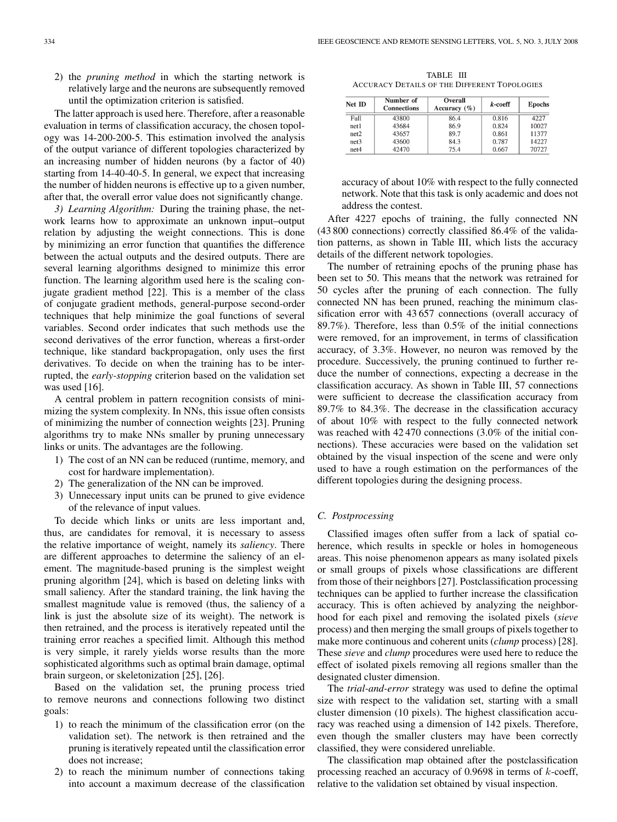2) the *pruning method* in which the starting network is relatively large and the neurons are subsequently removed until the optimization criterion is satisfied.

The latter approach is used here. Therefore, after a reasonable evaluation in terms of classification accuracy, the chosen topology was 14-200-200-5. This estimation involved the analysis of the output variance of different topologies characterized by an increasing number of hidden neurons (by a factor of 40) starting from 14-40-40-5. In general, we expect that increasing the number of hidden neurons is effective up to a given number, after that, the overall error value does not significantly change.

*3) Learning Algorithm:* During the training phase, the network learns how to approximate an unknown input–output relation by adjusting the weight connections. This is done by minimizing an error function that quantifies the difference between the actual outputs and the desired outputs. There are several learning algorithms designed to minimize this error function. The learning algorithm used here is the scaling conjugate gradient method [22]. This is a member of the class of conjugate gradient methods, general-purpose second-order techniques that help minimize the goal functions of several variables. Second order indicates that such methods use the second derivatives of the error function, whereas a first-order technique, like standard backpropagation, only uses the first derivatives. To decide on when the training has to be interrupted, the *early-stopping* criterion based on the validation set was used [16].

A central problem in pattern recognition consists of minimizing the system complexity. In NNs, this issue often consists of minimizing the number of connection weights [23]. Pruning algorithms try to make NNs smaller by pruning unnecessary links or units. The advantages are the following.

- 1) The cost of an NN can be reduced (runtime, memory, and cost for hardware implementation).
- 2) The generalization of the NN can be improved.
- 3) Unnecessary input units can be pruned to give evidence of the relevance of input values.

To decide which links or units are less important and, thus, are candidates for removal, it is necessary to assess the relative importance of weight, namely its *saliency*. There are different approaches to determine the saliency of an element. The magnitude-based pruning is the simplest weight pruning algorithm [24], which is based on deleting links with small saliency. After the standard training, the link having the smallest magnitude value is removed (thus, the saliency of a link is just the absolute size of its weight). The network is then retrained, and the process is iteratively repeated until the training error reaches a specified limit. Although this method is very simple, it rarely yields worse results than the more sophisticated algorithms such as optimal brain damage, optimal brain surgeon, or skeletonization [25], [26].

Based on the validation set, the pruning process tried to remove neurons and connections following two distinct goals:

- 1) to reach the minimum of the classification error (on the validation set). The network is then retrained and the pruning is iteratively repeated until the classification error does not increase;
- 2) to reach the minimum number of connections taking into account a maximum decrease of the classification

TABLE III ACCURACY DETAILS OF THE DIFFERENT TOPOLOGIES

| Net ID | Number of<br><b>Connections</b> | Overall<br>Accuracy $(\% )$ | $k$ -coeff | <b>Epochs</b> |
|--------|---------------------------------|-----------------------------|------------|---------------|
| Full   | 43800                           | 86.4                        | 0.816      | 4227          |
| net1   | 43684                           | 86.9                        | 0.824      | 10027         |
| net2   | 43657                           | 89.7                        | 0.861      | 11377         |
| net3   | 43600                           | 84.3                        | 0.787      | 14227         |
| net4   | 42470                           | 75.4                        | 0.667      | 70727         |

accuracy of about 10% with respect to the fully connected network. Note that this task is only academic and does not address the contest.

After 4227 epochs of training, the fully connected NN (43 800 connections) correctly classified 86.4% of the validation patterns, as shown in Table III, which lists the accuracy details of the different network topologies.

The number of retraining epochs of the pruning phase has been set to 50. This means that the network was retrained for 50 cycles after the pruning of each connection. The fully connected NN has been pruned, reaching the minimum classification error with 43 657 connections (overall accuracy of 89.7%). Therefore, less than 0.5% of the initial connections were removed, for an improvement, in terms of classification accuracy, of 3.3%. However, no neuron was removed by the procedure. Successively, the pruning continued to further reduce the number of connections, expecting a decrease in the classification accuracy. As shown in Table III, 57 connections were sufficient to decrease the classification accuracy from 89.7% to 84.3%. The decrease in the classification accuracy of about 10% with respect to the fully connected network was reached with  $42470$  connections  $(3.0\%$  of the initial connections). These accuracies were based on the validation set obtained by the visual inspection of the scene and were only used to have a rough estimation on the performances of the different topologies during the designing process.

#### *C. Postprocessing*

Classified images often suffer from a lack of spatial coherence, which results in speckle or holes in homogeneous areas. This noise phenomenon appears as many isolated pixels or small groups of pixels whose classifications are different from those of their neighbors [27]. Postclassification processing techniques can be applied to further increase the classification accuracy. This is often achieved by analyzing the neighborhood for each pixel and removing the isolated pixels (*sieve* process) and then merging the small groups of pixels together to make more continuous and coherent units (*clump* process) [28]. These *sieve* and *clump* procedures were used here to reduce the effect of isolated pixels removing all regions smaller than the designated cluster dimension.

The *trial-and-error* strategy was used to define the optimal size with respect to the validation set, starting with a small cluster dimension (10 pixels). The highest classification accuracy was reached using a dimension of 142 pixels. Therefore, even though the smaller clusters may have been correctly classified, they were considered unreliable.

The classification map obtained after the postclassification processing reached an accuracy of 0.9698 in terms of k-coeff, relative to the validation set obtained by visual inspection.